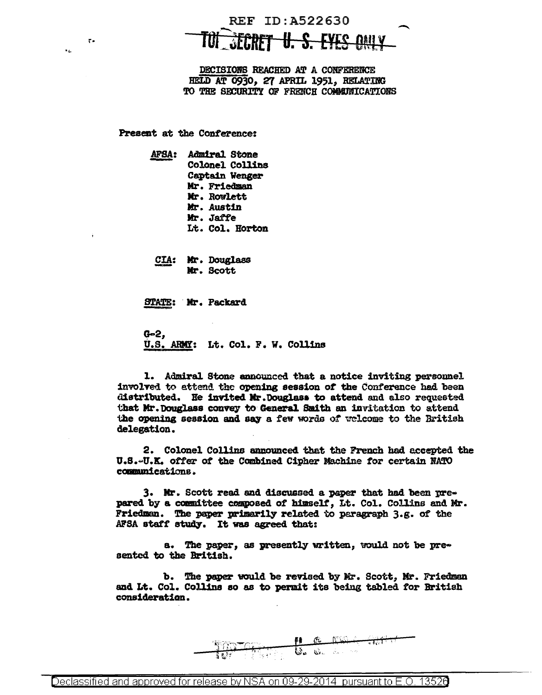## REF ID: A522630 *SECRET U. S. EYES ONLY*

DECISIONS REACHED AT A CONFERENCE HELD AT 0930. 27 APRIL 1951. RELATING TO THE SECURITY OF FRENCH COMMUNICATIONS

Present at the Conference:

 $r -$ 

 $\mathbf{r}$ 

AFSA: Admiral Stone Colonel Collins Captain Wenger Mr. Friedman Mr. Rowlett Mr. Austin Mr. Jaffe Lt. Col. Horton

CIA: Mr. Douglass Mr. Scott

STATE: Mr. Packard

 $G=2$ , U.S. ARMY: Lt. Col. F. W. Collins

1. Admiral Stone announced that a notice inviting personnel involved to attend the opening session of the Conference had been distributed. He invited Mr. Douglass to attend and also requested that Mr. Douglass convey to General Smith an invitation to attend the opening session and say a few words of welcome to the British delegation.

2. Colonel Collins announced that the French had accepted the U.S.-U.K. offer of the Combined Cipher Machine for certain NATO communications.

3. Mr. Scott read and discussed a paper that had been prepared by a committee composed of himself, Lt. Col. Collins and Mr. Friedman. The paper primarily related to paragraph 3.g. of the AFSA staff study. It was agreed that:

a. The paper, as presently written, would not be presented to the British.

b. The paper would be revised by Mr. Scott, Mr. Friedman and Lt. Col. Collins so as to permit its being tabled for British consideration.